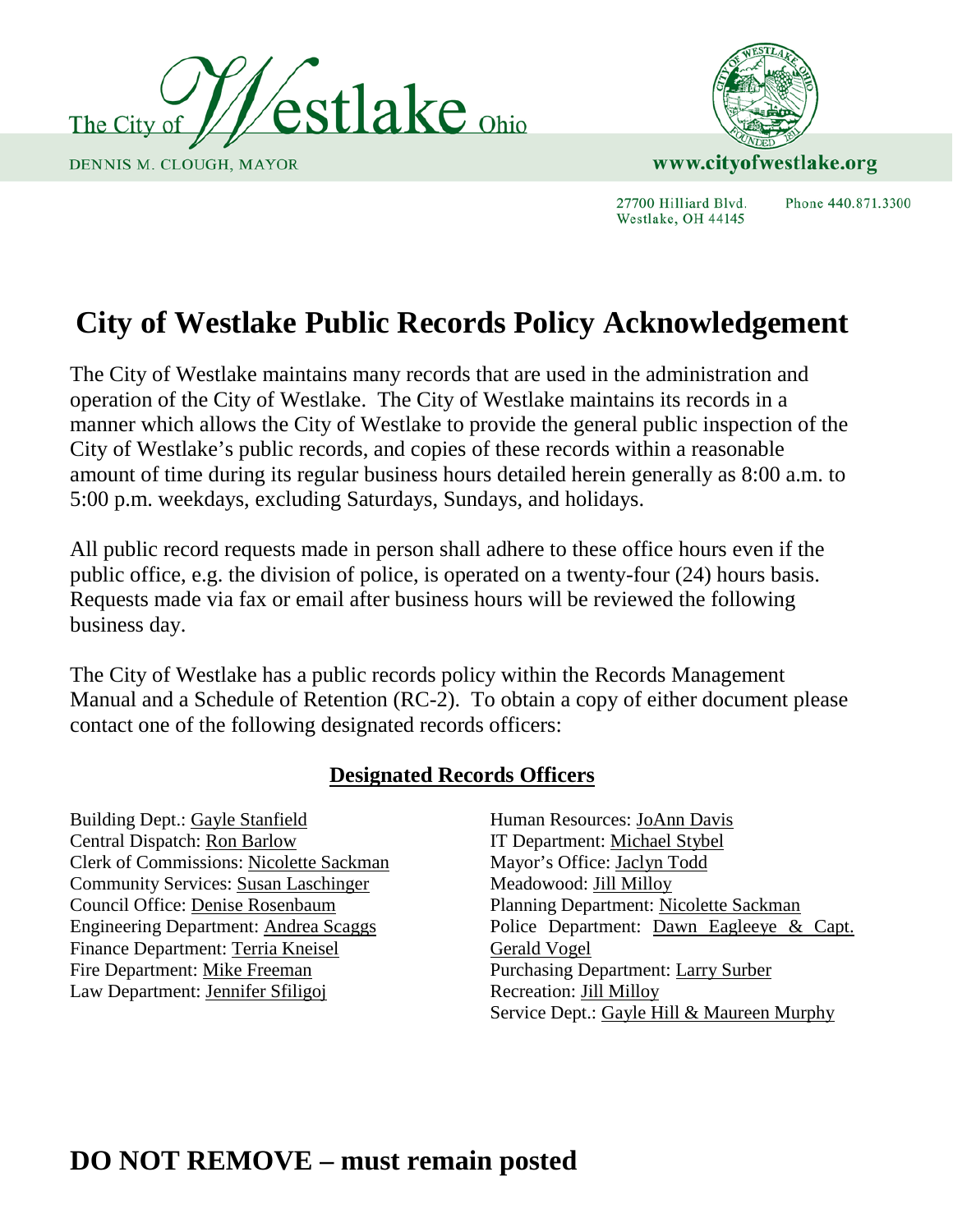



27700 Hilliard Blvd. Westlake, OH 44145

Phone 440,871,3300

# **City of Westlake Public Records Policy Acknowledgement**

The City of Westlake maintains many records that are used in the administration and operation of the City of Westlake. The City of Westlake maintains its records in a manner which allows the City of Westlake to provide the general public inspection of the City of Westlake's public records, and copies of these records within a reasonable amount of time during its regular business hours detailed herein generally as 8:00 a.m. to 5:00 p.m. weekdays, excluding Saturdays, Sundays, and holidays.

All public record requests made in person shall adhere to these office hours even if the public office, e.g. the division of police, is operated on a twenty-four (24) hours basis. Requests made via fax or email after business hours will be reviewed the following business day.

The City of Westlake has a public records policy within the Records Management Manual and a Schedule of Retention (RC-2). To obtain a copy of either document please contact one of the following designated records officers:

### **Designated Records Officers**

Building Dept.: Gayle Stanfield Central Dispatch: Ron Barlow Clerk of Commissions: Nicolette Sackman Community Services: Susan Laschinger Council Office: Denise Rosenbaum Engineering Department: Andrea Scaggs Finance Department: Terria Kneisel Fire Department: Mike Freeman Law Department: Jennifer Sfiligoj

Human Resources: JoAnn Davis IT Department: Michael Stybel Mayor's Office: Jaclyn Todd Meadowood: Jill Milloy Planning Department: Nicolette Sackman Police Department: Dawn Eagleeye & Capt. Gerald Vogel Purchasing Department: Larry Surber Recreation: Jill Milloy Service Dept.: Gayle Hill & Maureen Murphy

## **DO NOT REMOVE – must remain posted**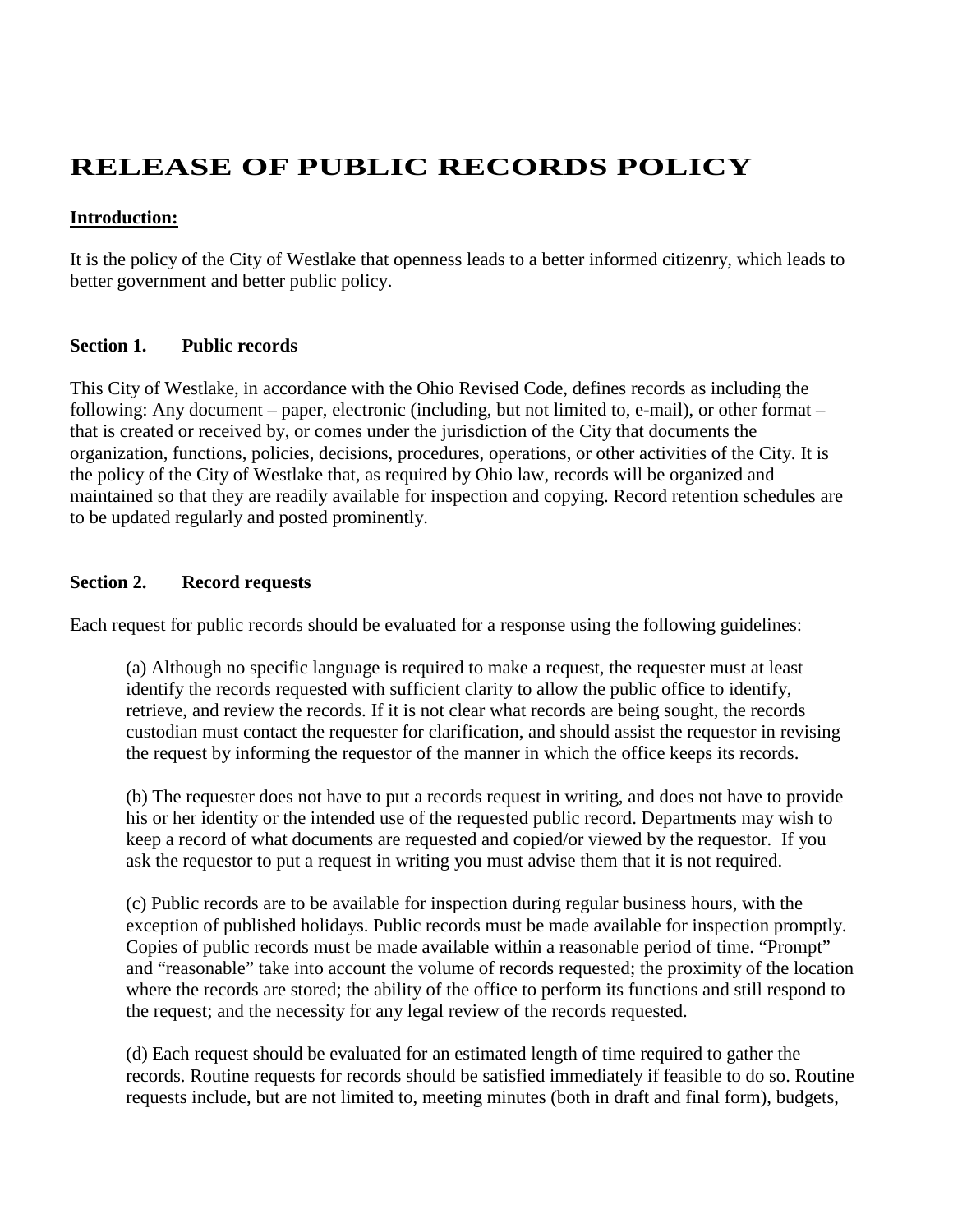### **RELEASE OF PUBLIC RECORDS POLICY**

#### **Introduction:**

It is the policy of the City of Westlake that openness leads to a better informed citizenry, which leads to better government and better public policy.

#### **Section 1. Public records**

This City of Westlake, in accordance with the Ohio Revised Code, defines records as including the following: Any document – paper, electronic (including, but not limited to, e-mail), or other format – that is created or received by, or comes under the jurisdiction of the City that documents the organization, functions, policies, decisions, procedures, operations, or other activities of the City. It is the policy of the City of Westlake that, as required by Ohio law, records will be organized and maintained so that they are readily available for inspection and copying. Record retention schedules are to be updated regularly and posted prominently.

#### **Section 2. Record requests**

Each request for public records should be evaluated for a response using the following guidelines:

(a) Although no specific language is required to make a request, the requester must at least identify the records requested with sufficient clarity to allow the public office to identify, retrieve, and review the records. If it is not clear what records are being sought, the records custodian must contact the requester for clarification, and should assist the requestor in revising the request by informing the requestor of the manner in which the office keeps its records.

(b) The requester does not have to put a records request in writing, and does not have to provide his or her identity or the intended use of the requested public record. Departments may wish to keep a record of what documents are requested and copied/or viewed by the requestor. If you ask the requestor to put a request in writing you must advise them that it is not required.

(c) Public records are to be available for inspection during regular business hours, with the exception of published holidays. Public records must be made available for inspection promptly. Copies of public records must be made available within a reasonable period of time. "Prompt" and "reasonable" take into account the volume of records requested; the proximity of the location where the records are stored; the ability of the office to perform its functions and still respond to the request; and the necessity for any legal review of the records requested.

(d) Each request should be evaluated for an estimated length of time required to gather the records. Routine requests for records should be satisfied immediately if feasible to do so. Routine requests include, but are not limited to, meeting minutes (both in draft and final form), budgets,